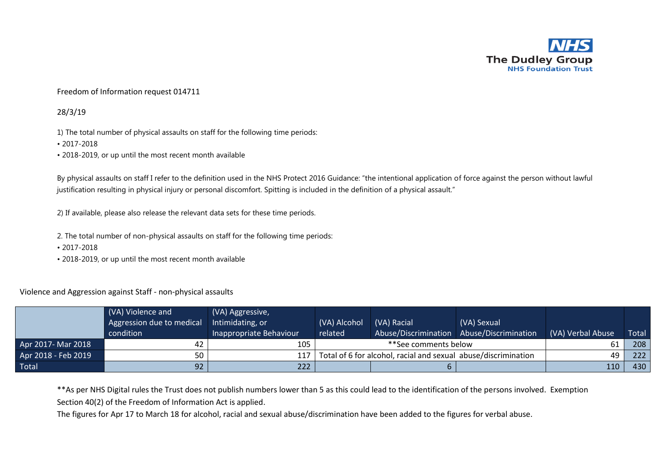

## Freedom of Information request 014711

## 28/3/19

1) The total number of physical assaults on staff for the following time periods:

- 2017-2018
- 2018-2019, or up until the most recent month available

By physical assaults on staff I refer to the definition used in the NHS Protect 2016 Guidance: "the intentional application of force against the person without lawful justification resulting in physical injury or personal discomfort. Spitting is included in the definition of a physical assault."

2) If available, please also release the relevant data sets for these time periods.

- 2. The total number of non-physical assaults on staff for the following time periods:
- 2017-2018
- 2018-2019, or up until the most recent month available

## Violence and Aggression against Staff - non-physical assaults

|                     | (VA) Violence and<br>Aggression due to medical<br>condition | (VA) Aggressive,<br>Intimidating, or<br>Inappropriate Behaviour | (VA) Alcohol<br>related | (VA) Racial<br>Abuse/Discrimination                            | (VA) Sexual<br>Abuse/Discrimination | (VA) Verbal Abuse | Total |
|---------------------|-------------------------------------------------------------|-----------------------------------------------------------------|-------------------------|----------------------------------------------------------------|-------------------------------------|-------------------|-------|
| Apr 2017- Mar 2018  | 42                                                          | 105                                                             |                         | **See comments below                                           |                                     |                   | 208   |
| Apr 2018 - Feb 2019 | 50                                                          | 117                                                             |                         | Total of 6 for alcohol, racial and sexual abuse/discrimination |                                     | 49                | 222   |
| <b>Total</b>        | 92                                                          | 222                                                             |                         |                                                                |                                     | 110               | 430   |

\*\*As per NHS Digital rules the Trust does not publish numbers lower than 5 as this could lead to the identification of the persons involved. Exemption Section 40(2) of the Freedom of Information Act is applied.

The figures for Apr 17 to March 18 for alcohol, racial and sexual abuse/discrimination have been added to the figures for verbal abuse.